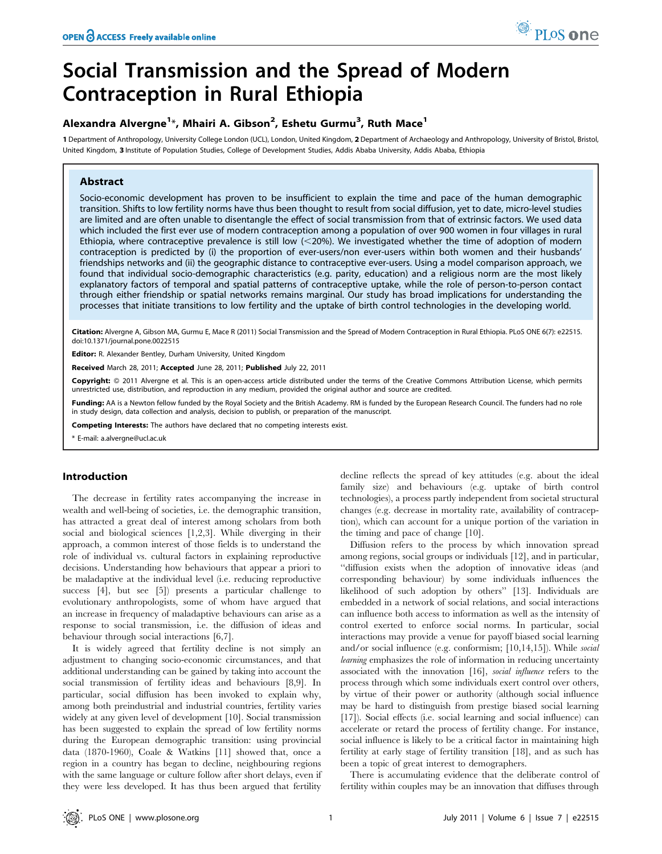# Social Transmission and the Spread of Modern Contraception in Rural Ethiopia

# Alexandra Alvergne<sup>1</sup>\*, Mhairi A. Gibson<sup>2</sup>, Eshetu Gurmu<sup>3</sup>, Ruth Mace<sup>1</sup>

1 Department of Anthropology, University College London (UCL), London, United Kingdom, 2 Department of Archaeology and Anthropology, University of Bristol, Bristol, United Kingdom, 3 Institute of Population Studies, College of Development Studies, Addis Ababa University, Addis Ababa, Ethiopia

# Abstract

Socio-economic development has proven to be insufficient to explain the time and pace of the human demographic transition. Shifts to low fertility norms have thus been thought to result from social diffusion, yet to date, micro-level studies are limited and are often unable to disentangle the effect of social transmission from that of extrinsic factors. We used data which included the first ever use of modern contraception among a population of over 900 women in four villages in rural Ethiopia, where contraceptive prevalence is still low  $\langle$ <20%). We investigated whether the time of adoption of modern contraception is predicted by (i) the proportion of ever-users/non ever-users within both women and their husbands' friendships networks and (ii) the geographic distance to contraceptive ever-users. Using a model comparison approach, we found that individual socio-demographic characteristics (e.g. parity, education) and a religious norm are the most likely explanatory factors of temporal and spatial patterns of contraceptive uptake, while the role of person-to-person contact through either friendship or spatial networks remains marginal. Our study has broad implications for understanding the processes that initiate transitions to low fertility and the uptake of birth control technologies in the developing world.

Citation: Alvergne A, Gibson MA, Gurmu E, Mace R (2011) Social Transmission and the Spread of Modern Contraception in Rural Ethiopia. PLoS ONE 6(7): e22515. doi:10.1371/journal.pone.0022515

Editor: R. Alexander Bentley, Durham University, United Kingdom

Received March 28, 2011; Accepted June 28, 2011; Published July 22, 2011

**Copyright:** © 2011 Alvergne et al. This is an open-access article distributed under the terms of the Creative Commons Attribution License, which permits unrestricted use, distribution, and reproduction in any medium, provided the original author and source are credited.

Funding: AA is a Newton fellow funded by the Royal Society and the British Academy. RM is funded by the European Research Council. The funders had no role in study design, data collection and analysis, decision to publish, or preparation of the manuscript.

Competing Interests: The authors have declared that no competing interests exist.

\* E-mail: a.alvergne@ucl.ac.uk

### Introduction

The decrease in fertility rates accompanying the increase in wealth and well-being of societies, i.e. the demographic transition, has attracted a great deal of interest among scholars from both social and biological sciences [1,2,3]. While diverging in their approach, a common interest of those fields is to understand the role of individual vs. cultural factors in explaining reproductive decisions. Understanding how behaviours that appear a priori to be maladaptive at the individual level (i.e. reducing reproductive success [4], but see [5]) presents a particular challenge to evolutionary anthropologists, some of whom have argued that an increase in frequency of maladaptive behaviours can arise as a response to social transmission, i.e. the diffusion of ideas and behaviour through social interactions [6,7].

It is widely agreed that fertility decline is not simply an adjustment to changing socio-economic circumstances, and that additional understanding can be gained by taking into account the social transmission of fertility ideas and behaviours [8,9]. In particular, social diffusion has been invoked to explain why, among both preindustrial and industrial countries, fertility varies widely at any given level of development [10]. Social transmission has been suggested to explain the spread of low fertility norms during the European demographic transition: using provincial data (1870-1960), Coale & Watkins [11] showed that, once a region in a country has began to decline, neighbouring regions with the same language or culture follow after short delays, even if they were less developed. It has thus been argued that fertility

decline reflects the spread of key attitudes (e.g. about the ideal family size) and behaviours (e.g. uptake of birth control technologies), a process partly independent from societal structural changes (e.g. decrease in mortality rate, availability of contraception), which can account for a unique portion of the variation in the timing and pace of change [10].

Diffusion refers to the process by which innovation spread among regions, social groups or individuals [12], and in particular, ''diffusion exists when the adoption of innovative ideas (and corresponding behaviour) by some individuals influences the likelihood of such adoption by others'' [13]. Individuals are embedded in a network of social relations, and social interactions can influence both access to information as well as the intensity of control exerted to enforce social norms. In particular, social interactions may provide a venue for payoff biased social learning and/or social influence (e.g. conformism; [10,14,15]). While social learning emphasizes the role of information in reducing uncertainty associated with the innovation [16], social influence refers to the process through which some individuals exert control over others, by virtue of their power or authority (although social influence may be hard to distinguish from prestige biased social learning [17]). Social effects (i.e. social learning and social influence) can accelerate or retard the process of fertility change. For instance, social influence is likely to be a critical factor in maintaining high fertility at early stage of fertility transition [18], and as such has been a topic of great interest to demographers.

There is accumulating evidence that the deliberate control of fertility within couples may be an innovation that diffuses through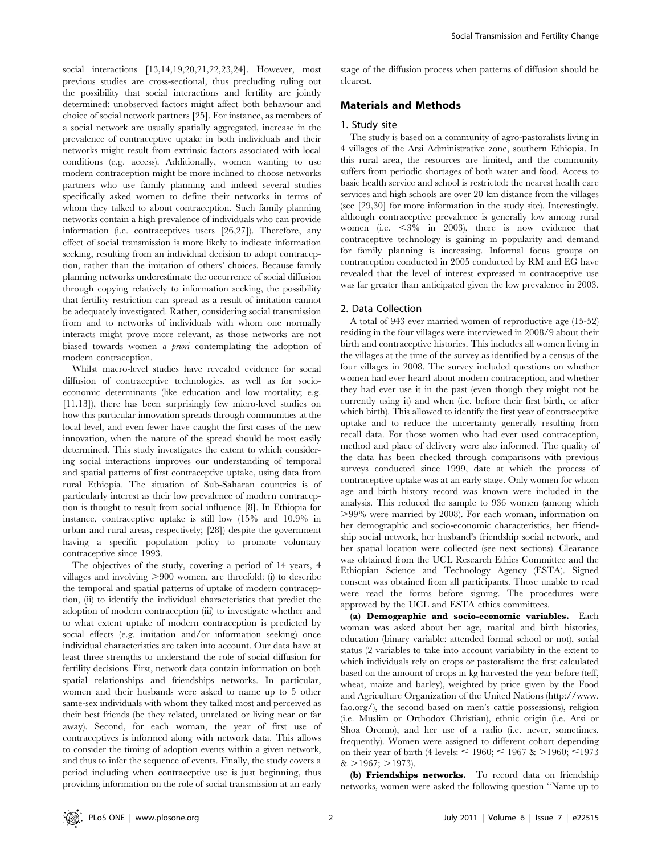social interactions [13,14,19,20,21,22,23,24]. However, most previous studies are cross-sectional, thus precluding ruling out the possibility that social interactions and fertility are jointly determined: unobserved factors might affect both behaviour and choice of social network partners [25]. For instance, as members of a social network are usually spatially aggregated, increase in the prevalence of contraceptive uptake in both individuals and their networks might result from extrinsic factors associated with local conditions (e.g. access). Additionally, women wanting to use modern contraception might be more inclined to choose networks partners who use family planning and indeed several studies specifically asked women to define their networks in terms of whom they talked to about contraception. Such family planning networks contain a high prevalence of individuals who can provide information (i.e. contraceptives users [26,27]). Therefore, any effect of social transmission is more likely to indicate information seeking, resulting from an individual decision to adopt contraception, rather than the imitation of others' choices. Because family planning networks underestimate the occurrence of social diffusion through copying relatively to information seeking, the possibility that fertility restriction can spread as a result of imitation cannot be adequately investigated. Rather, considering social transmission from and to networks of individuals with whom one normally interacts might prove more relevant, as those networks are not biased towards women *a priori* contemplating the adoption of modern contraception.

Whilst macro-level studies have revealed evidence for social diffusion of contraceptive technologies, as well as for socioeconomic determinants (like education and low mortality; e.g. [11,13]), there has been surprisingly few micro-level studies on how this particular innovation spreads through communities at the local level, and even fewer have caught the first cases of the new innovation, when the nature of the spread should be most easily determined. This study investigates the extent to which considering social interactions improves our understanding of temporal and spatial patterns of first contraceptive uptake, using data from rural Ethiopia. The situation of Sub-Saharan countries is of particularly interest as their low prevalence of modern contraception is thought to result from social influence [8]. In Ethiopia for instance, contraceptive uptake is still low (15% and 10.9% in urban and rural areas, respectively; [28]) despite the government having a specific population policy to promote voluntary contraceptive since 1993.

The objectives of the study, covering a period of 14 years, 4 villages and involving  $>900$  women, are threefold: (i) to describe the temporal and spatial patterns of uptake of modern contraception, (ii) to identify the individual characteristics that predict the adoption of modern contraception (iii) to investigate whether and to what extent uptake of modern contraception is predicted by social effects (e.g. imitation and/or information seeking) once individual characteristics are taken into account. Our data have at least three strengths to understand the role of social diffusion for fertility decisions. First, network data contain information on both spatial relationships and friendships networks. In particular, women and their husbands were asked to name up to 5 other same-sex individuals with whom they talked most and perceived as their best friends (be they related, unrelated or living near or far away). Second, for each woman, the year of first use of contraceptives is informed along with network data. This allows to consider the timing of adoption events within a given network, and thus to infer the sequence of events. Finally, the study covers a period including when contraceptive use is just beginning, thus providing information on the role of social transmission at an early

stage of the diffusion process when patterns of diffusion should be clearest.

# Materials and Methods

#### 1. Study site

The study is based on a community of agro-pastoralists living in 4 villages of the Arsi Administrative zone, southern Ethiopia. In this rural area, the resources are limited, and the community suffers from periodic shortages of both water and food. Access to basic health service and school is restricted: the nearest health care services and high schools are over 20 km distance from the villages (see [29,30] for more information in the study site). Interestingly, although contraceptive prevalence is generally low among rural women (i.e.  $\leq 3\%$  in 2003), there is now evidence that contraceptive technology is gaining in popularity and demand for family planning is increasing. Informal focus groups on contraception conducted in 2005 conducted by RM and EG have revealed that the level of interest expressed in contraceptive use was far greater than anticipated given the low prevalence in 2003.

#### 2. Data Collection

A total of 943 ever married women of reproductive age (15-52) residing in the four villages were interviewed in 2008/9 about their birth and contraceptive histories. This includes all women living in the villages at the time of the survey as identified by a census of the four villages in 2008. The survey included questions on whether women had ever heard about modern contraception, and whether they had ever use it in the past (even though they might not be currently using it) and when (i.e. before their first birth, or after which birth). This allowed to identify the first year of contraceptive uptake and to reduce the uncertainty generally resulting from recall data. For those women who had ever used contraception, method and place of delivery were also informed. The quality of the data has been checked through comparisons with previous surveys conducted since 1999, date at which the process of contraceptive uptake was at an early stage. Only women for whom age and birth history record was known were included in the analysis. This reduced the sample to 936 women (among which  $>99\%$  were married by 2008). For each woman, information on her demographic and socio-economic characteristics, her friendship social network, her husband's friendship social network, and her spatial location were collected (see next sections). Clearance was obtained from the UCL Research Ethics Committee and the Ethiopian Science and Technology Agency (ESTA). Signed consent was obtained from all participants. Those unable to read were read the forms before signing. The procedures were approved by the UCL and ESTA ethics committees.

(a) Demographic and socio-economic variables. Each woman was asked about her age, marital and birth histories, education (binary variable: attended formal school or not), social status (2 variables to take into account variability in the extent to which individuals rely on crops or pastoralism: the first calculated based on the amount of crops in kg harvested the year before (teff, wheat, maize and barley), weighted by price given by the Food and Agriculture Organization of the United Nations (http://www. fao.org/), the second based on men's cattle possessions), religion (i.e. Muslim or Orthodox Christian), ethnic origin (i.e. Arsi or Shoa Oromo), and her use of a radio (i.e. never, sometimes, frequently). Women were assigned to different cohort depending on their year of birth (4 levels:  $\leq 1960$ ;  $\leq 1967$  &  $>1960$ ;  $\leq 1973$  $>1967$ ;  $>1973$ ).

(b) Friendships networks. To record data on friendship networks, women were asked the following question ''Name up to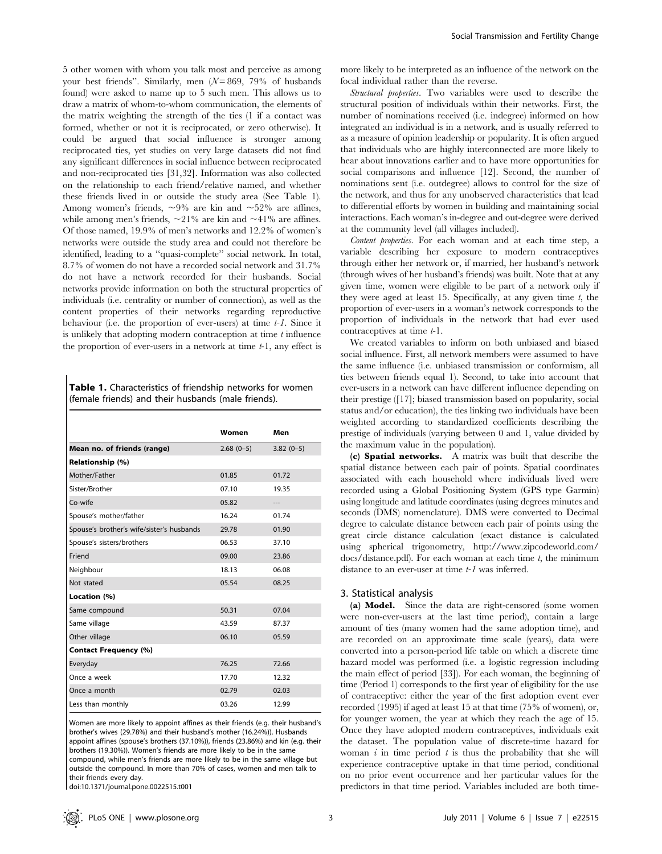5 other women with whom you talk most and perceive as among your best friends". Similarly, men  $(N = 869, 79\%$  of husbands found) were asked to name up to 5 such men. This allows us to draw a matrix of whom-to-whom communication, the elements of the matrix weighting the strength of the ties (1 if a contact was formed, whether or not it is reciprocated, or zero otherwise). It could be argued that social influence is stronger among reciprocated ties, yet studies on very large datasets did not find any significant differences in social influence between reciprocated and non-reciprocated ties [31,32]. Information was also collected on the relationship to each friend/relative named, and whether these friends lived in or outside the study area (See Table 1). Among women's friends,  $\sim 9\%$  are kin and  $\sim 52\%$  are affines, while among men's friends,  $\sim$ 21% are kin and  $\sim$ 41% are affines. Of those named, 19.9% of men's networks and 12.2% of women's networks were outside the study area and could not therefore be identified, leading to a ''quasi-complete'' social network. In total, 8.7% of women do not have a recorded social network and 31.7% do not have a network recorded for their husbands. Social networks provide information on both the structural properties of individuals (i.e. centrality or number of connection), as well as the content properties of their networks regarding reproductive behaviour (i.e. the proportion of ever-users) at time t-1. Since it is unlikely that adopting modern contraception at time  $t$  influence the proportion of ever-users in a network at time  $t-1$ , any effect is

Table 1. Characteristics of friendship networks for women (female friends) and their husbands (male friends).

|                                           | Women       | Men         |
|-------------------------------------------|-------------|-------------|
| Mean no. of friends (range)               | $2.68(0-5)$ | $3.82(0-5)$ |
| Relationship (%)                          |             |             |
| Mother/Father                             | 01.85       | 01.72       |
| Sister/Brother                            | 07.10       | 19.35       |
| Co-wife                                   | 05.82       |             |
| Spouse's mother/father                    | 16.24       | 01.74       |
| Spouse's brother's wife/sister's husbands | 29.78       | 01.90       |
| Spouse's sisters/brothers                 | 06.53       | 37.10       |
| Friend                                    | 09.00       | 23.86       |
| Neighbour                                 | 18.13       | 06.08       |
| Not stated                                | 05.54       | 08.25       |
| Location (%)                              |             |             |
| Same compound                             | 50.31       | 07.04       |
| Same village                              | 43.59       | 87.37       |
| Other village                             | 06.10       | 05.59       |
| <b>Contact Frequency (%)</b>              |             |             |
| Everyday                                  | 76.25       | 72.66       |
| Once a week                               | 17.70       | 12.32       |
| Once a month                              | 02.79       | 02.03       |
| Less than monthly                         | 03.26       | 12.99       |

Women are more likely to appoint affines as their friends (e.g. their husband's brother's wives (29.78%) and their husband's mother (16.24%)). Husbands appoint affines (spouse's brothers (37.10%)), friends (23.86%) and kin (e.g. their brothers (19.30%)). Women's friends are more likely to be in the same compound, while men's friends are more likely to be in the same village but outside the compound. In more than 70% of cases, women and men talk to their friends every day.

doi:10.1371/journal.pone.0022515.t001

more likely to be interpreted as an influence of the network on the focal individual rather than the reverse.

Structural properties. Two variables were used to describe the structural position of individuals within their networks. First, the number of nominations received (i.e. indegree) informed on how integrated an individual is in a network, and is usually referred to as a measure of opinion leadership or popularity. It is often argued that individuals who are highly interconnected are more likely to hear about innovations earlier and to have more opportunities for social comparisons and influence [12]. Second, the number of nominations sent (i.e. outdegree) allows to control for the size of the network, and thus for any unobserved characteristics that lead to differential efforts by women in building and maintaining social interactions. Each woman's in-degree and out-degree were derived at the community level (all villages included).

Content properties. For each woman and at each time step, a variable describing her exposure to modern contraceptives through either her network or, if married, her husband's network (through wives of her husband's friends) was built. Note that at any given time, women were eligible to be part of a network only if they were aged at least 15. Specifically, at any given time  $t$ , the proportion of ever-users in a woman's network corresponds to the proportion of individuals in the network that had ever used contraceptives at time  $t-1$ .

We created variables to inform on both unbiased and biased social influence. First, all network members were assumed to have the same influence (i.e. unbiased transmission or conformism, all ties between friends equal 1). Second, to take into account that ever-users in a network can have different influence depending on their prestige ([17]; biased transmission based on popularity, social status and/or education), the ties linking two individuals have been weighted according to standardized coefficients describing the prestige of individuals (varying between 0 and 1, value divided by the maximum value in the population).

(c) Spatial networks. A matrix was built that describe the spatial distance between each pair of points. Spatial coordinates associated with each household where individuals lived were recorded using a Global Positioning System (GPS type Garmin) using longitude and latitude coordinates (using degrees minutes and seconds (DMS) nomenclature). DMS were converted to Decimal degree to calculate distance between each pair of points using the great circle distance calculation (exact distance is calculated using spherical trigonometry, http://www.zipcodeworld.com/  $\frac{d}{dx}$  distance.pdf. For each woman at each time t, the minimum distance to an ever-user at time  $t-1$  was inferred.

#### 3. Statistical analysis

(a) Model. Since the data are right-censored (some women were non-ever-users at the last time period), contain a large amount of ties (many women had the same adoption time), and are recorded on an approximate time scale (years), data were converted into a person-period life table on which a discrete time hazard model was performed (i.e. a logistic regression including the main effect of period [33]). For each woman, the beginning of time (Period 1) corresponds to the first year of eligibility for the use of contraceptive: either the year of the first adoption event ever recorded (1995) if aged at least 15 at that time (75% of women), or, for younger women, the year at which they reach the age of 15. Once they have adopted modern contraceptives, individuals exit the dataset. The population value of discrete-time hazard for woman  $i$  in time period  $t$  is thus the probability that she will experience contraceptive uptake in that time period, conditional on no prior event occurrence and her particular values for the predictors in that time period. Variables included are both time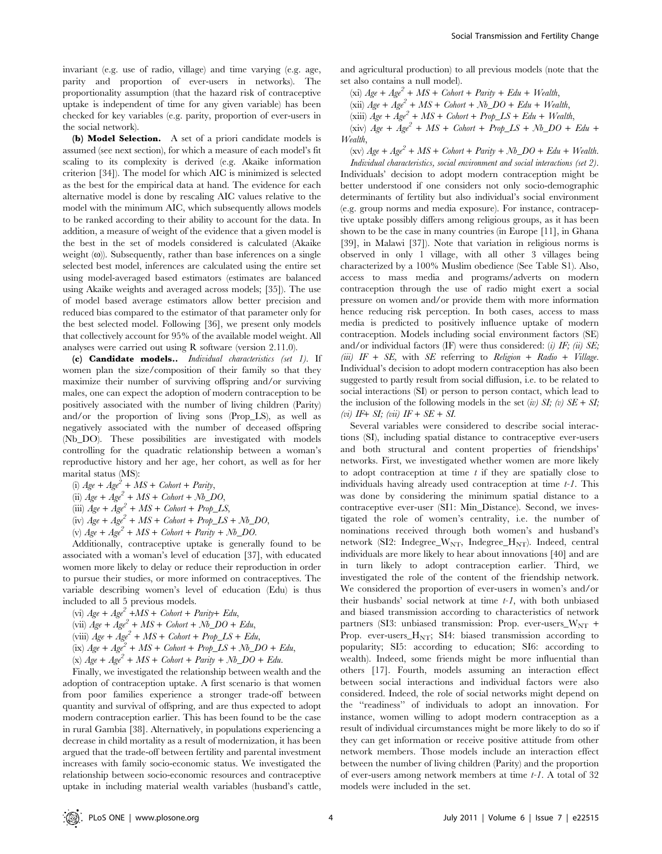invariant (e.g. use of radio, village) and time varying (e.g. age, parity and proportion of ever-users in networks). The proportionality assumption (that the hazard risk of contraceptive uptake is independent of time for any given variable) has been checked for key variables (e.g. parity, proportion of ever-users in the social network).

(b) Model Selection. A set of a priori candidate models is assumed (see next section), for which a measure of each model's fit scaling to its complexity is derived (e.g. Akaike information criterion [34]). The model for which AIC is minimized is selected as the best for the empirical data at hand. The evidence for each alternative model is done by rescaling AIC values relative to the model with the minimum AIC, which subsequently allows models to be ranked according to their ability to account for the data. In addition, a measure of weight of the evidence that a given model is the best in the set of models considered is calculated (Akaike weight  $(\omega)$ ). Subsequently, rather than base inferences on a single selected best model, inferences are calculated using the entire set using model-averaged based estimators (estimates are balanced using Akaike weights and averaged across models; [35]). The use of model based average estimators allow better precision and reduced bias compared to the estimator of that parameter only for the best selected model. Following [36], we present only models that collectively account for 95% of the available model weight. All analyses were carried out using R software (version 2.11.0).

(c) Candidate models.. Individual characteristics (set 1). If women plan the size/composition of their family so that they maximize their number of surviving offspring and/or surviving males, one can expect the adoption of modern contraception to be positively associated with the number of living children (Parity) and/or the proportion of living sons (Prop\_LS), as well as negatively associated with the number of deceased offspring (Nb\_DO). These possibilities are investigated with models controlling for the quadratic relationship between a woman's reproductive history and her age, her cohort, as well as for her marital status (MS):

(i)  $Age + Age^2 + MS + Cohort + Parity$ ,

(ii)  $Age + Age^2 + MS + Cohort + Nb\_DO$ ,

(iii)  $Age + Age^2 + MS + Cohort + Prop\_LS$ ,

(iv)  $Age + Age^2 + MS + Cohort + Prob\_LS + Nb\_DO$ ,

(v)  $A\varrho e + A\varrho e^2 + MS + Cohort + Parity + Nb\ DO.$ 

Additionally, contraceptive uptake is generally found to be associated with a woman's level of education [37], with educated women more likely to delay or reduce their reproduction in order to pursue their studies, or more informed on contraceptives. The variable describing women's level of education (Edu) is thus included to all 5 previous models.

(vi)  $Age + Age^2 + MS + Cohort + Parity + Edu,$ 

(vii)  $Age + Age^2 + MS + Cohort + Nb\_DO + Edu,$ 

(viii)  $Age + Age^2 + MS + Cohort + Prop\_LS + Edu,$ 

(ix)  $Age + Age^2 + MS + Cohort + Prop\_LS + Nb\_DO + Edu,$ 

(x)  $Age + Age^2 + MS + Cohort + Parity + Nb\_DO + Edu.$ 

Finally, we investigated the relationship between wealth and the adoption of contraception uptake. A first scenario is that women from poor families experience a stronger trade-off between quantity and survival of offspring, and are thus expected to adopt modern contraception earlier. This has been found to be the case in rural Gambia [38]. Alternatively, in populations experiencing a decrease in child mortality as a result of modernization, it has been argued that the trade-off between fertility and parental investment increases with family socio-economic status. We investigated the relationship between socio-economic resources and contraceptive uptake in including material wealth variables (husband's cattle,

and agricultural production) to all previous models (note that the set also contains a null model).

(xi)  $Age + Age^2 + MS + Cohort + Parity + Edu + Wealth,$ 

(xii)  $Age + Age^2 + MS + Cohort + Nb\_DO + Edu + Wealth,$ 

(xiii)  $Age + Age^2 + MS + Cohort + Prob\_LS + Edu + Wealth,$ 

 $(xiv)$  Age + Age<sup>2</sup> + MS + Cohort + Prop\_LS + Nb\_DO + Edu + Wealth,

 $(xv)$  Age + Age<sup>2</sup> + MS + Cohort + Parity + Nb\_DO + Edu + Wealth.

Individual characteristics, social environment and social interactions (set 2). Individuals' decision to adopt modern contraception might be better understood if one considers not only socio-demographic determinants of fertility but also individual's social environment (e.g. group norms and media exposure). For instance, contraceptive uptake possibly differs among religious groups, as it has been shown to be the case in many countries (in Europe [11], in Ghana [39], in Malawi [37]). Note that variation in religious norms is observed in only 1 village, with all other 3 villages being characterized by a 100% Muslim obedience (See Table S1). Also, access to mass media and programs/adverts on modern contraception through the use of radio might exert a social pressure on women and/or provide them with more information hence reducing risk perception. In both cases, access to mass media is predicted to positively influence uptake of modern contraception. Models including social environment factors (SE) and/or individual factors (IF) were thus considered: (i) IF; (ii) SE; (iii)  $IF + SE$ , with SE referring to Religion + Radio + Village. Individual's decision to adopt modern contraception has also been suggested to partly result from social diffusion, i.e. to be related to social interactions (SI) or person to person contact, which lead to the inclusion of the following models in the set (iv)  $SI$ ; (v)  $SE + SI$ ; (*vi*) IF +  $SI$ ; (*vii*) IF +  $SE + SI$ .

Several variables were considered to describe social interactions (SI), including spatial distance to contraceptive ever-users and both structural and content properties of friendships' networks. First, we investigated whether women are more likely to adopt contraception at time  $t$  if they are spatially close to individuals having already used contraception at time  $t-1$ . This was done by considering the minimum spatial distance to a contraceptive ever-user (SI1: Min\_Distance). Second, we investigated the role of women's centrality, i.e. the number of nominations received through both women's and husband's network (SI2: Indegree\_ $W_{NT}$ , Indegree\_ $H_{NT}$ ). Indeed, central individuals are more likely to hear about innovations [40] and are in turn likely to adopt contraception earlier. Third, we investigated the role of the content of the friendship network. We considered the proportion of ever-users in women's and/or their husbands' social network at time  $t-1$ , with both unbiased and biased transmission according to characteristics of network partners (SI3: unbiased transmission: Prop. ever-users\_ $W<sub>NT</sub>$  + Prop. ever-users\_H<sub>NT</sub>; SI4: biased transmission according to popularity; SI5: according to education; SI6: according to wealth). Indeed, some friends might be more influential than others [17]. Fourth, models assuming an interaction effect between social interactions and individual factors were also considered. Indeed, the role of social networks might depend on the ''readiness'' of individuals to adopt an innovation. For instance, women willing to adopt modern contraception as a result of individual circumstances might be more likely to do so if they can get information or receive positive attitude from other network members. Those models include an interaction effect between the number of living children (Parity) and the proportion of ever-users among network members at time  $t-1$ . A total of 32 models were included in the set.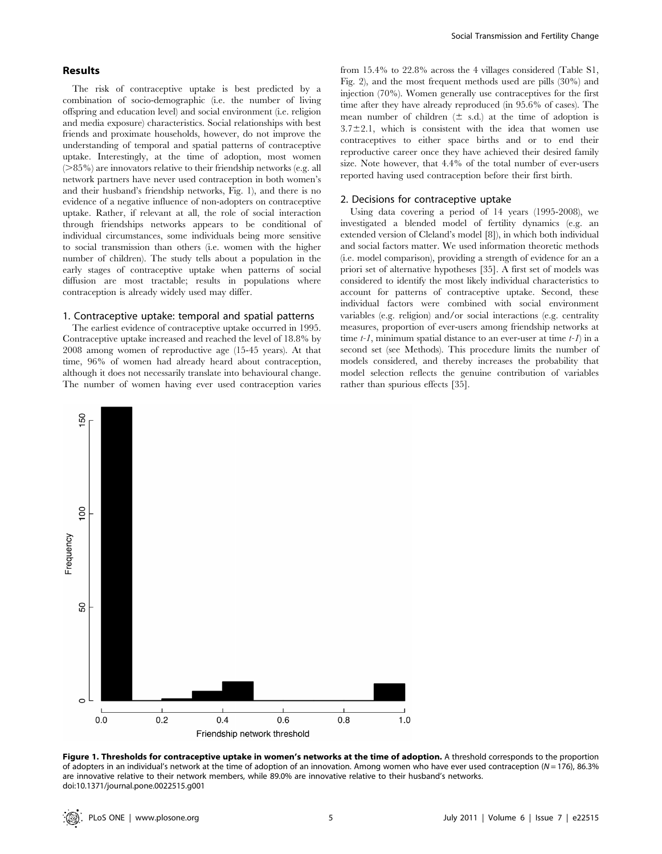#### Results

The risk of contraceptive uptake is best predicted by a combination of socio-demographic (i.e. the number of living offspring and education level) and social environment (i.e. religion and media exposure) characteristics. Social relationships with best friends and proximate households, however, do not improve the understanding of temporal and spatial patterns of contraceptive uptake. Interestingly, at the time of adoption, most women  $(>=85\%)$  are innovators relative to their friendship networks (e.g. all network partners have never used contraception in both women's and their husband's friendship networks, Fig. 1), and there is no evidence of a negative influence of non-adopters on contraceptive uptake. Rather, if relevant at all, the role of social interaction through friendships networks appears to be conditional of individual circumstances, some individuals being more sensitive to social transmission than others (i.e. women with the higher number of children). The study tells about a population in the early stages of contraceptive uptake when patterns of social diffusion are most tractable; results in populations where contraception is already widely used may differ.

# 1. Contraceptive uptake: temporal and spatial patterns

The earliest evidence of contraceptive uptake occurred in 1995. Contraceptive uptake increased and reached the level of 18.8% by 2008 among women of reproductive age (15-45 years). At that time, 96% of women had already heard about contraception, although it does not necessarily translate into behavioural change. The number of women having ever used contraception varies

from 15.4% to 22.8% across the 4 villages considered (Table S1, Fig. 2), and the most frequent methods used are pills (30%) and injection (70%). Women generally use contraceptives for the first time after they have already reproduced (in 95.6% of cases). The mean number of children  $(\pm s.d.)$  at the time of adoption is  $3.7\pm2.1$ , which is consistent with the idea that women use contraceptives to either space births and or to end their reproductive career once they have achieved their desired family size. Note however, that 4.4% of the total number of ever-users reported having used contraception before their first birth.

### 2. Decisions for contraceptive uptake

Using data covering a period of 14 years (1995-2008), we investigated a blended model of fertility dynamics (e.g. an extended version of Cleland's model [8]), in which both individual and social factors matter. We used information theoretic methods (i.e. model comparison), providing a strength of evidence for an a priori set of alternative hypotheses [35]. A first set of models was considered to identify the most likely individual characteristics to account for patterns of contraceptive uptake. Second, these individual factors were combined with social environment variables (e.g. religion) and/or social interactions (e.g. centrality measures, proportion of ever-users among friendship networks at time  $t$ -1, minimum spatial distance to an ever-user at time  $t$ -1) in a second set (see Methods). This procedure limits the number of models considered, and thereby increases the probability that model selection reflects the genuine contribution of variables rather than spurious effects [35].



Figure 1. Thresholds for contraceptive uptake in women's networks at the time of adoption. A threshold corresponds to the proportion of adopters in an individual's network at the time of adoption of an innovation. Among women who have ever used contraception ( $N = 176$ ), 86.3% are innovative relative to their network members, while 89.0% are innovative relative to their husband's networks. doi:10.1371/journal.pone.0022515.g001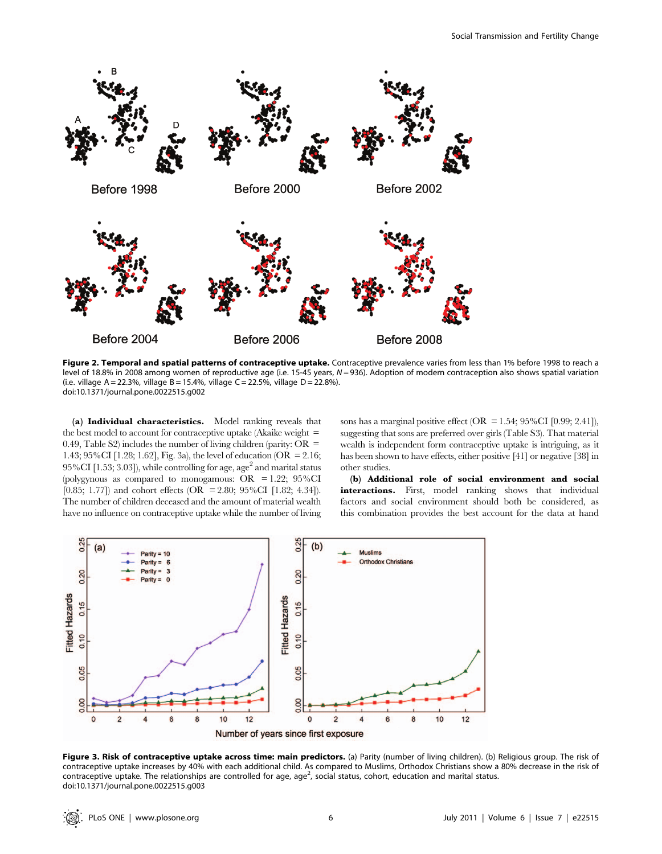

Figure 2. Temporal and spatial patterns of contraceptive uptake. Contraceptive prevalence varies from less than 1% before 1998 to reach a level of 18.8% in 2008 among women of reproductive age (i.e. 15-45 years, N=936). Adoption of modern contraception also shows spatial variation (i.e. village  $A = 22.3$ %, village  $B = 15.4$ %, village  $C = 22.5$ %, village  $D = 22.8$ %). doi:10.1371/journal.pone.0022515.g002

(a) Individual characteristics. Model ranking reveals that the best model to account for contraceptive uptake (Akaike weight  $=$ 0.49, Table S2) includes the number of living children (parity:  $OR =$ 1.43; 95%CI [1.28; 1.62], Fig. 3a), the level of education (OR = 2.16; 95%CI [1.53; 3.03]), while controlling for age, age<sup>2</sup> and marital status (polygynous as compared to monogamous: OR = 1.22; 95%CI [0.85; 1.77]) and cohort effects (OR = 2.80; 95%CI [1.82; 4.34]). The number of children deceased and the amount of material wealth have no influence on contraceptive uptake while the number of living sons has a marginal positive effect (OR = 1.54;  $95\%$ CI [0.99; 2.41]), suggesting that sons are preferred over girls (Table S3). That material wealth is independent form contraceptive uptake is intriguing, as it has been shown to have effects, either positive [41] or negative [38] in other studies.

(b) Additional role of social environment and social interactions. First, model ranking shows that individual factors and social environment should both be considered, as this combination provides the best account for the data at hand



Figure 3. Risk of contraceptive uptake across time: main predictors. (a) Parity (number of living children). (b) Religious group. The risk of contraceptive uptake increases by 40% with each additional child. As compared to Muslims, Orthodox Christians show a 80% decrease in the risk of contraceptive uptake. The relationships are controlled for age, age<sup>2</sup>, social status, cohort, education and marital status. doi:10.1371/journal.pone.0022515.g003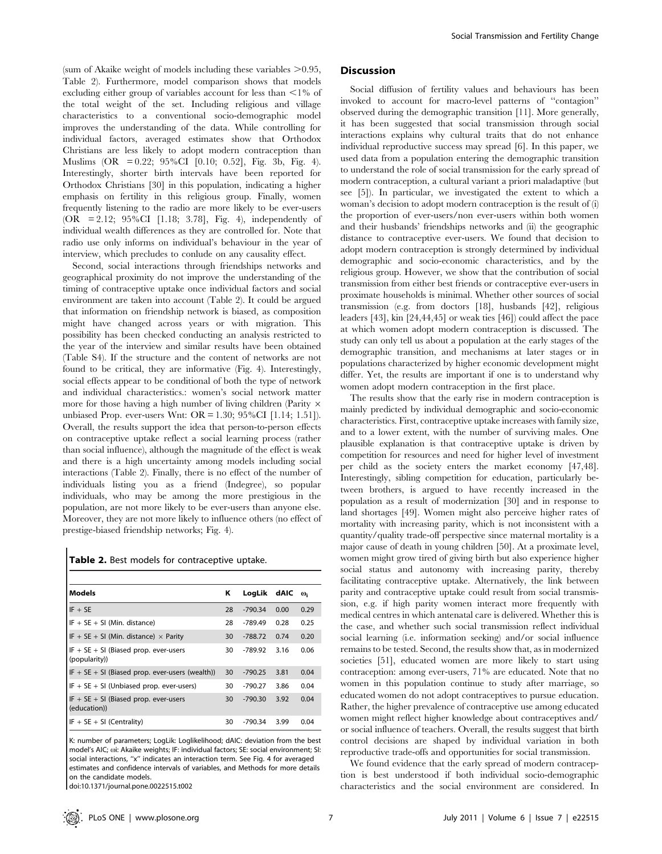(sum of Akaike weight of models including these variables  $>0.95$ , Table 2). Furthermore, model comparison shows that models excluding either group of variables account for less than  $\leq 1\%$  of the total weight of the set. Including religious and village characteristics to a conventional socio-demographic model improves the understanding of the data. While controlling for individual factors, averaged estimates show that Orthodox Christians are less likely to adopt modern contraception than Muslims (OR =  $0.22$ ;  $95\%$ CI [0.10; 0.52], Fig. 3b, Fig. 4). Interestingly, shorter birth intervals have been reported for Orthodox Christians [30] in this population, indicating a higher emphasis on fertility in this religious group. Finally, women frequently listening to the radio are more likely to be ever-users (OR = 2.12;  $95\%$ CI [1.18; 3.78], Fig. 4), independently of individual wealth differences as they are controlled for. Note that radio use only informs on individual's behaviour in the year of interview, which precludes to conlude on any causality effect.

Second, social interactions through friendships networks and geographical proximity do not improve the understanding of the timing of contraceptive uptake once individual factors and social environment are taken into account (Table 2). It could be argued that information on friendship network is biased, as composition might have changed across years or with migration. This possibility has been checked conducting an analysis restricted to the year of the interview and similar results have been obtained (Table S4). If the structure and the content of networks are not found to be critical, they are informative (Fig. 4). Interestingly, social effects appear to be conditional of both the type of network and individual characteristics.: women's social network matter more for those having a high number of living children (Parity  $\times$ unbiased Prop. ever-users Wnt: OR = 1.30; 95%CI [1.14; 1.51]). Overall, the results support the idea that person-to-person effects on contraceptive uptake reflect a social learning process (rather than social influence), although the magnitude of the effect is weak and there is a high uncertainty among models including social interactions (Table 2). Finally, there is no effect of the number of individuals listing you as a friend (Indegree), so popular individuals, who may be among the more prestigious in the population, are not more likely to be ever-users than anyone else. Moreover, they are not more likely to influence others (no effect of prestige-biased friendship networks; Fig. 4).

Table 2. Best models for contraceptive uptake.

| <b>Models</b>                                              | κ  | LogLik dAIC |      | $\omega$ |
|------------------------------------------------------------|----|-------------|------|----------|
| $IF + SE$                                                  | 28 | $-790.34$   | 0.00 | 0.29     |
| IF + $SE$ + $SI$ (Min. distance)                           | 28 | $-789.49$   | 0.28 | 0.25     |
| IF + SE + SI (Min. distance) $\times$ Parity               | 30 | -788.72     | 0.74 | 0.20     |
| IF $+$ SE $+$ SI (Biased prop. ever-users<br>(popularity)) | 30 | -789.92     | 3.16 | 0.06     |
| IF + SE + SI (Biased prop. ever-users (wealth))            | 30 | $-790.25$   | 3.81 | 0.04     |
| $IF + SE + SI$ (Unbiased prop. ever-users)                 | 30 | -790.27     | 3.86 | 0.04     |
| IF $+$ SE $+$ SI (Biased prop. ever-users<br>(education))  | 30 | $-790.30$   | 3.92 | 0.04     |
| IF + $SE$ + $SI$ (Centrality)                              | 30 | $-790.34$   | 3.99 | 0.04     |

K: number of parameters; LogLik: Loglikelihood; dAIC: deviation from the best model's AIC; vi: Akaike weights; IF: individual factors; SE: social environment; SI: social interactions, ''x'' indicates an interaction term. See Fig. 4 for averaged estimates and confidence intervals of variables, and Methods for more details on the candidate models.

doi:10.1371/journal.pone.0022515.t002

# **Discussion**

Social diffusion of fertility values and behaviours has been invoked to account for macro-level patterns of ''contagion'' observed during the demographic transition [11]. More generally, it has been suggested that social transmission through social interactions explains why cultural traits that do not enhance individual reproductive success may spread [6]. In this paper, we used data from a population entering the demographic transition to understand the role of social transmission for the early spread of modern contraception, a cultural variant a priori maladaptive (but see [5]). In particular, we investigated the extent to which a woman's decision to adopt modern contraception is the result of (i) the proportion of ever-users/non ever-users within both women and their husbands' friendships networks and (ii) the geographic distance to contraceptive ever-users. We found that decision to adopt modern contraception is strongly determined by individual demographic and socio-economic characteristics, and by the religious group. However, we show that the contribution of social transmission from either best friends or contraceptive ever-users in proximate households is minimal. Whether other sources of social transmission (e.g. from doctors [18], husbands [42], religious leaders [43], kin [24,44,45] or weak ties [46]) could affect the pace at which women adopt modern contraception is discussed. The study can only tell us about a population at the early stages of the demographic transition, and mechanisms at later stages or in populations characterized by higher economic development might differ. Yet, the results are important if one is to understand why women adopt modern contraception in the first place.

The results show that the early rise in modern contraception is mainly predicted by individual demographic and socio-economic characteristics. First, contraceptive uptake increases with family size, and to a lower extent, with the number of surviving males. One plausible explanation is that contraceptive uptake is driven by competition for resources and need for higher level of investment per child as the society enters the market economy [47,48]. Interestingly, sibling competition for education, particularly between brothers, is argued to have recently increased in the population as a result of modernization [30] and in response to land shortages [49]. Women might also perceive higher rates of mortality with increasing parity, which is not inconsistent with a quantity/quality trade-off perspective since maternal mortality is a major cause of death in young children [50]. At a proximate level, women might grow tired of giving birth but also experience higher social status and autonomy with increasing parity, thereby facilitating contraceptive uptake. Alternatively, the link between parity and contraceptive uptake could result from social transmission, e.g. if high parity women interact more frequently with medical centres in which antenatal care is delivered. Whether this is the case, and whether such social transmission reflect individual social learning (i.e. information seeking) and/or social influence remains to be tested. Second, the results show that, as in modernized societies [51], educated women are more likely to start using contraception: among ever-users, 71% are educated. Note that no women in this population continue to study after marriage, so educated women do not adopt contraceptives to pursue education. Rather, the higher prevalence of contraceptive use among educated women might reflect higher knowledge about contraceptives and/ or social influence of teachers. Overall, the results suggest that birth control decisions are shaped by individual variation in both reproductive trade-offs and opportunities for social transmission.

We found evidence that the early spread of modern contraception is best understood if both individual socio-demographic characteristics and the social environment are considered. In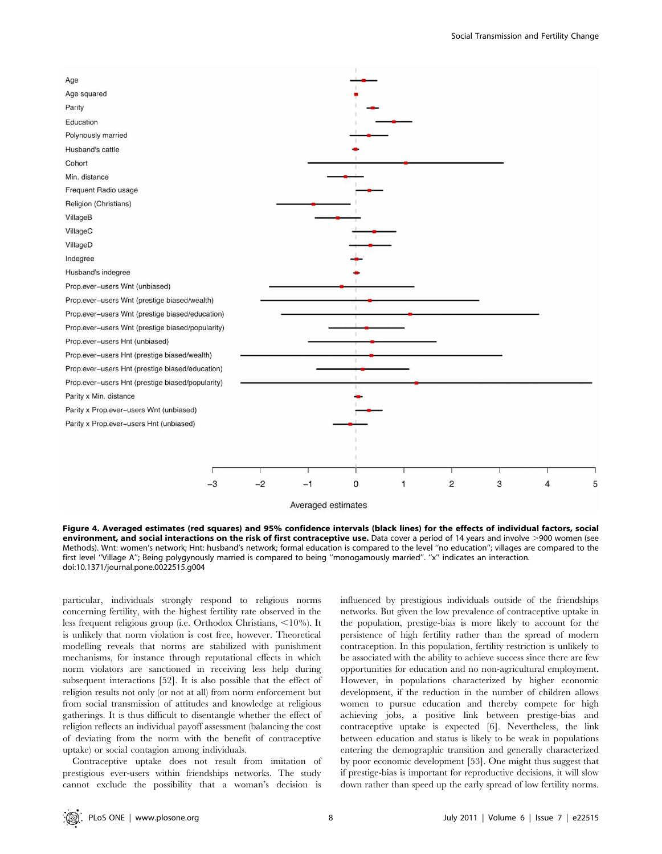

Averaged estimates

Figure 4. Averaged estimates (red squares) and 95% confidence intervals (black lines) for the effects of individual factors, social environment, and social interactions on the risk of first contraceptive use. Data cover a period of 14 years and involve >900 women (see Methods). Wnt: women's network; Hnt: husband's network; formal education is compared to the level ''no education''; villages are compared to the first level "Village A"; Being polygynously married is compared to being "monogamously married". "x" indicates an interaction. doi:10.1371/journal.pone.0022515.g004

particular, individuals strongly respond to religious norms concerning fertility, with the highest fertility rate observed in the less frequent religious group (i.e. Orthodox Christians,  $\langle 10\% \rangle$ . It is unlikely that norm violation is cost free, however. Theoretical modelling reveals that norms are stabilized with punishment mechanisms, for instance through reputational effects in which norm violators are sanctioned in receiving less help during subsequent interactions [52]. It is also possible that the effect of religion results not only (or not at all) from norm enforcement but from social transmission of attitudes and knowledge at religious gatherings. It is thus difficult to disentangle whether the effect of religion reflects an individual payoff assessment (balancing the cost of deviating from the norm with the benefit of contraceptive uptake) or social contagion among individuals.

Contraceptive uptake does not result from imitation of prestigious ever-users within friendships networks. The study cannot exclude the possibility that a woman's decision is

influenced by prestigious individuals outside of the friendships networks. But given the low prevalence of contraceptive uptake in the population, prestige-bias is more likely to account for the persistence of high fertility rather than the spread of modern contraception. In this population, fertility restriction is unlikely to be associated with the ability to achieve success since there are few opportunities for education and no non-agricultural employment. However, in populations characterized by higher economic development, if the reduction in the number of children allows women to pursue education and thereby compete for high achieving jobs, a positive link between prestige-bias and contraceptive uptake is expected [6]. Nevertheless, the link between education and status is likely to be weak in populations entering the demographic transition and generally characterized by poor economic development [53]. One might thus suggest that if prestige-bias is important for reproductive decisions, it will slow down rather than speed up the early spread of low fertility norms.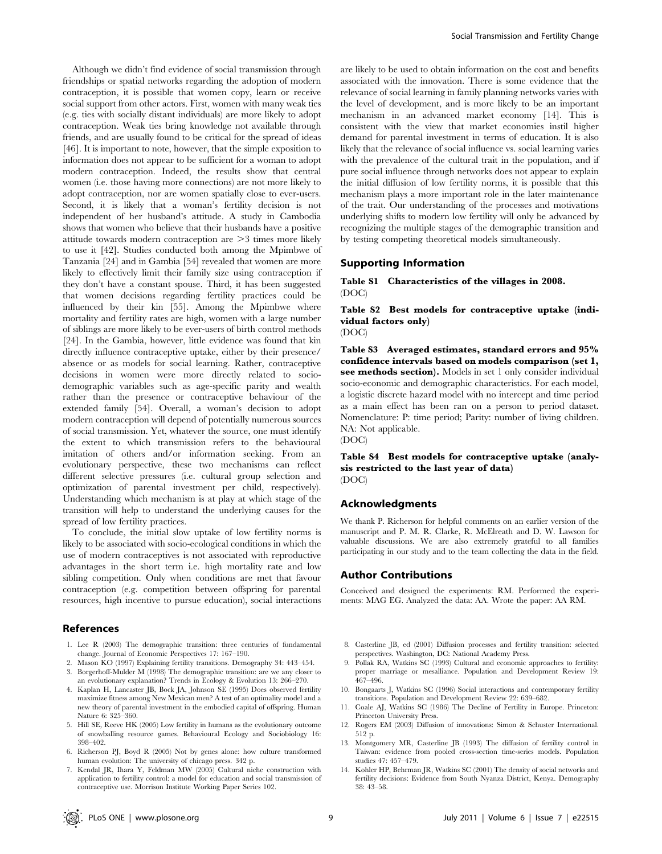Although we didn't find evidence of social transmission through friendships or spatial networks regarding the adoption of modern contraception, it is possible that women copy, learn or receive social support from other actors. First, women with many weak ties (e.g. ties with socially distant individuals) are more likely to adopt contraception. Weak ties bring knowledge not available through friends, and are usually found to be critical for the spread of ideas [46]. It is important to note, however, that the simple exposition to information does not appear to be sufficient for a woman to adopt modern contraception. Indeed, the results show that central women (i.e. those having more connections) are not more likely to adopt contraception, nor are women spatially close to ever-users. Second, it is likely that a woman's fertility decision is not independent of her husband's attitude. A study in Cambodia shows that women who believe that their husbands have a positive attitude towards modern contraception are  $>3$  times more likely to use it [42]. Studies conducted both among the Mpimbwe of Tanzania [24] and in Gambia [54] revealed that women are more likely to effectively limit their family size using contraception if they don't have a constant spouse. Third, it has been suggested that women decisions regarding fertility practices could be influenced by their kin [55]. Among the Mpimbwe where mortality and fertility rates are high, women with a large number of siblings are more likely to be ever-users of birth control methods [24]. In the Gambia, however, little evidence was found that kin directly influence contraceptive uptake, either by their presence/ absence or as models for social learning. Rather, contraceptive decisions in women were more directly related to sociodemographic variables such as age-specific parity and wealth rather than the presence or contraceptive behaviour of the extended family [54]. Overall, a woman's decision to adopt modern contraception will depend of potentially numerous sources of social transmission. Yet, whatever the source, one must identify the extent to which transmission refers to the behavioural imitation of others and/or information seeking. From an evolutionary perspective, these two mechanisms can reflect different selective pressures (i.e. cultural group selection and optimization of parental investment per child, respectively). Understanding which mechanism is at play at which stage of the transition will help to understand the underlying causes for the spread of low fertility practices.

To conclude, the initial slow uptake of low fertility norms is likely to be associated with socio-ecological conditions in which the use of modern contraceptives is not associated with reproductive advantages in the short term i.e. high mortality rate and low sibling competition. Only when conditions are met that favour contraception (e.g. competition between offspring for parental resources, high incentive to pursue education), social interactions

# References

- 1. Lee R (2003) The demographic transition: three centuries of fundamental change. Journal of Economic Perspectives 17: 167–190.
- 2. Mason KO (1997) Explaining fertility transitions. Demography 34: 443–454.
- 3. Borgerhoff-Mulder M (1998) The demographic transition: are we any closer to an evolutionary explanation? Trends in Ecology & Evolution 13: 266–270.
- 4. Kaplan H, Lancaster JB, Bock JA, Johnson SE (1995) Does observed fertility maximize fitness among New Mexican men? A test of an optimality model and a new theory of parental investment in the embodied capital of offspring. Human Nature 6: 325–360.
- 5. Hill SE, Reeve HK (2005) Low fertility in humans as the evolutionary outcome of snowballing resource games. Behavioural Ecology and Sociobiology 16: 398–402.
- 6. Richerson PJ, Boyd R (2005) Not by genes alone: how culture transformed human evolution: The university of chicago press. 342 p.
- 7. Kendal JR, Ihara Y, Feldman MW (2005) Cultural niche construction with application to fertility control: a model for education and social transmission of contraceptive use. Morrison Institute Working Paper Series 102.

are likely to be used to obtain information on the cost and benefits associated with the innovation. There is some evidence that the relevance of social learning in family planning networks varies with the level of development, and is more likely to be an important mechanism in an advanced market economy [14]. This is consistent with the view that market economies instil higher demand for parental investment in terms of education. It is also likely that the relevance of social influence vs. social learning varies with the prevalence of the cultural trait in the population, and if pure social influence through networks does not appear to explain the initial diffusion of low fertility norms, it is possible that this mechanism plays a more important role in the later maintenance of the trait. Our understanding of the processes and motivations underlying shifts to modern low fertility will only be advanced by recognizing the multiple stages of the demographic transition and by testing competing theoretical models simultaneously.

#### Supporting Information

Table S1 Characteristics of the villages in 2008. (DOC)

Table S2 Best models for contraceptive uptake (individual factors only) (DOC)

Table S3 Averaged estimates, standard errors and 95% confidence intervals based on models comparison (set 1, see methods section). Models in set 1 only consider individual socio-economic and demographic characteristics. For each model, a logistic discrete hazard model with no intercept and time period as a main effect has been ran on a person to period dataset. Nomenclature: P: time period; Parity: number of living children. NA: Not applicable.

(DOC)

Table S4 Best models for contraceptive uptake (analysis restricted to the last year of data) (DOC)

#### Acknowledgments

We thank P. Richerson for helpful comments on an earlier version of the manuscript and P. M. R. Clarke, R. McElreath and D. W. Lawson for valuable discussions. We are also extremely grateful to all families participating in our study and to the team collecting the data in the field.

#### Author Contributions

Conceived and designed the experiments: RM. Performed the experiments: MAG EG. Analyzed the data: AA. Wrote the paper: AA RM.

- 8. Casterline JB, ed (2001) Diffusion processes and fertility transition: selected perspectives. Washington, DC: National Academy Press.
- 9. Pollak RA, Watkins SC (1993) Cultural and economic approaches to fertility: proper marriage or mesalliance. Population and Development Review 19: 467–496.
- 10. Bongaarts J, Watkins SC (1996) Social interactions and contemporary fertility transitions. Population and Development Review 22: 639–682.
- 11. Coale AJ, Watkins SC (1986) The Decline of Fertility in Europe. Princeton: Princeton University Press.
- 12. Rogers EM (2003) Diffusion of innovations: Simon & Schuster International. 512 p.
- 13. Montgomery MR, Casterline JB (1993) The diffusion of fertility control in Taiwan: evidence from pooled cross-section time-series models. Population studies 47: 457–479.
- 14. Kohler HP, Behrman JR, Watkins SC (2001) The density of social networks and fertility decisions: Evidence from South Nyanza District, Kenya. Demography 38: 43–58.